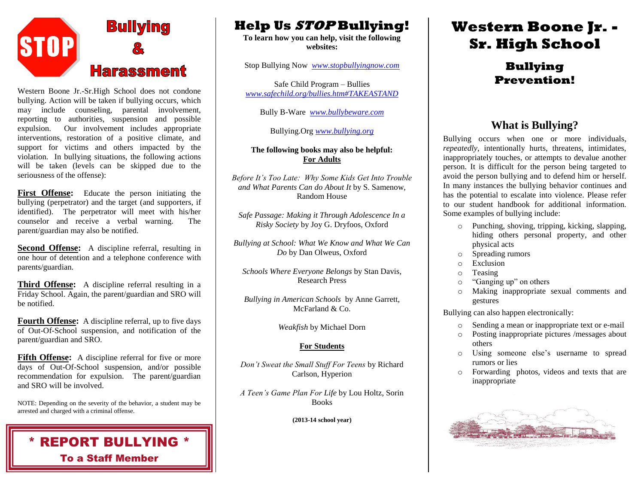

Western Boone Jr.-Sr.High School does not condone bullying. Action will be taken if bullying occurs, which may include counseling, parental involvement, reporting to authorities, suspension and possible expulsion. Our involvement includes appropriate interventions, restoration of a positive climate, and support for victims and others impacted by the violation. In bullying situations, the following actions will be taken (levels can be skipped due to the seriousness of the offense):

**First Offense:** Educate the person initiating the bullying (perpetrator) and the target (and supporters, if identified). The perpetrator will meet with his/her counselor and receive a verbal warning. The parent/guardian may also be notified.

**Second Offense:** A discipline referral, resulting in one hour of detention and a telephone conference with parents/guardian.

**Third Offense:** A discipline referral resulting in a Friday School. Again, the parent/guardian and SRO will be notified.

**Fourth Offense:** A discipline referral, up to five days of Out-Of-School suspension, and notification of the parent/guardian and SRO.

**Fifth Offense:** A discipline referral for five or more days of Out-Of-School suspension, and/or possible recommendation for expulsion. The parent/guardian and SRO will be involved.

NOTE: Depending on the severity of the behavior, a student may be arrested and charged with a criminal offense.



### **Help Us STOP Bullying!**

**To learn how you can help, visit the following websites:**

Stop Bullying Now *[www.stopbullyingnow.com](http://www.stopbullyingnow.com/)*

Safe Child Program – Bullies *[www.safechild.org/bullies.htm#TAKEASTAND](http://www.safechild.org/bullies.htm#TAKEASTAND)*

Bully B-Ware *[www.bullybeware.com](http://www.bullybeware.com/)*

Bullying.Org *[www.bullying.org](http://www.bullying.org/)*

#### **The following books may also be helpful: For Adults**

*Before It's Too Late: Why Some Kids Get Into Trouble and What Parents Can do About It* by S. Samenow, Random House

*Safe Passage: Making it Through Adolescence In a Risky Society* by Joy G. Dryfoos, Oxford

*Bullying at School: What We Know and What We Can Do* by Dan Olweus, Oxford

*Schools Where Everyone Belongs* by Stan Davis, Research Press

*Bullying in American Schools* by Anne Garrett, McFarland & Co.

*Weakfish* by Michael Dorn

#### **For Students**

*Don't Sweat the Small Stuff For Teens* by Richard Carlson, Hyperion

*A Teen's Game Plan For Life* by Lou Holtz, Sorin Books

**(2013-14 school year)**

# **Western Boone Jr. - Sr. High School**

### **Bullying Prevention!**

### **What is Bullying?**

Bullying occurs when one or more individuals, *repeatedly*, intentionally hurts, threatens, intimidates, inappropriately touches, or attempts to devalue another person. It is difficult for the person being targeted to avoid the person bullying and to defend him or herself. In many instances the bullying behavior continues and has the potential to escalate into violence. Please refer to our student handbook for additional information. Some examples of bullying include:

- o Punching, shoving, tripping, kicking, slapping, hiding others personal property, and other physical acts
- o Spreading rumors
- o Exclusion
- o Teasing
- o "Ganging up" on others
- o Making inappropriate sexual comments and gestures

Bullying can also happen electronically:

- o Sending a mean or inappropriate text or e-mail
- o Posting inappropriate pictures /messages about others
- o Using someone else's username to spread rumors or lies
- o Forwarding photos, videos and texts that are inappropriate